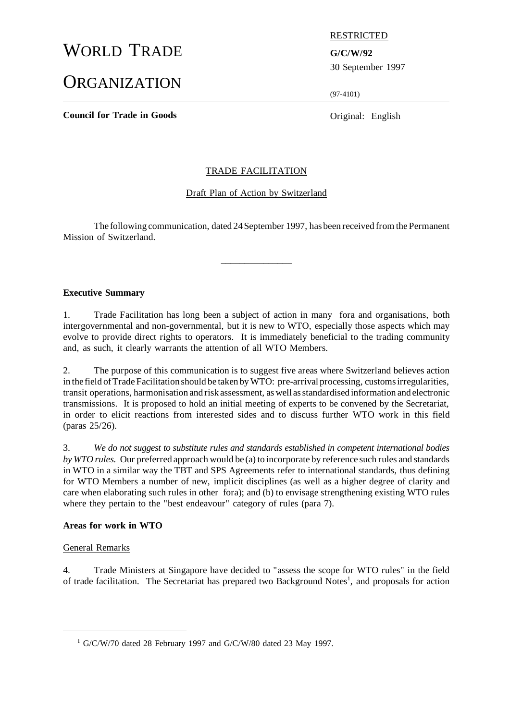# WORLD TRADE **G/C/W/92**

## **ORGANIZATION**

RESTRICTED

30 September 1997

(97-4101)

**Council for Trade in Goods** Original: English

#### TRADE FACILITATION

#### Draft Plan of Action by Switzerland

The following communication, dated 24September 1997, has been received fromthe Permanent Mission of Switzerland.

 $\overline{\phantom{a}}$  , where  $\overline{\phantom{a}}$ 

#### **Executive Summary**

1. Trade Facilitation has long been a subject of action in many fora and organisations, both intergovernmental and non-governmental, but it is new to WTO, especially those aspects which may evolve to provide direct rights to operators. It is immediately beneficial to the trading community and, as such, it clearly warrants the attention of all WTO Members.

2. The purpose of this communication is to suggest five areas where Switzerland believes action in the field ofTrade Facilitation should be taken byWTO: pre-arrival processing, customsirregularities, transit operations, harmonisation and risk assessment, as well asstandardised information and electronic transmissions. It is proposed to hold an initial meeting of experts to be convened by the Secretariat, in order to elicit reactions from interested sides and to discuss further WTO work in this field (paras 25/26).

3. *We do not suggest to substitute rules and standards established in competent international bodies by WTO rules.* Our preferred approach would be (a) to incorporate by reference such rules and standards in WTO in a similar way the TBT and SPS Agreements refer to international standards, thus defining for WTO Members a number of new, implicit disciplines (as well as a higher degree of clarity and care when elaborating such rules in other fora); and (b) to envisage strengthening existing WTO rules where they pertain to the "best endeavour" category of rules (para 7).

#### **Areas for work in WTO**

#### General Remarks

4. Trade Ministers at Singapore have decided to "assess the scope for WTO rules" in the field of trade facilitation. The Secretariat has prepared two Background Notes<sup>1</sup>, and proposals for action

 $1$  G/C/W/70 dated 28 February 1997 and G/C/W/80 dated 23 May 1997.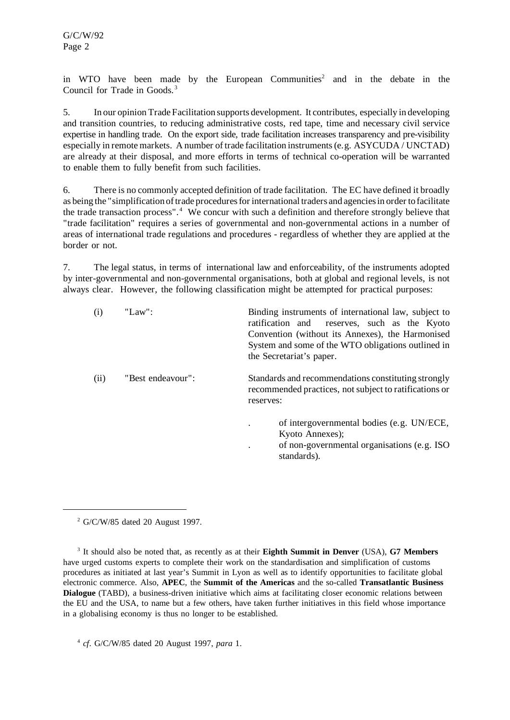in WTO have been made by the European Communities<sup>2</sup> and in the debate in the Council for Trade in Goods.<sup>3</sup>

5. In our opinion Trade Facilitation supports development. It contributes, especially in developing and transition countries, to reducing administrative costs, red tape, time and necessary civil service expertise in handling trade. On the export side, trade facilitation increases transparency and pre-visibility especially in remote markets. A number of trade facilitation instruments(e.g. ASYCUDA / UNCTAD) are already at their disposal, and more efforts in terms of technical co-operation will be warranted to enable them to fully benefit from such facilities.

6. There is no commonly accepted definition of trade facilitation. The EC have defined it broadly as being the "simplification of trade procedures for international traders and agencies in order to facilitate the trade transaction process".<sup>4</sup> We concur with such a definition and therefore strongly believe that "trade facilitation" requires a series of governmental and non-governmental actions in a number of areas of international trade regulations and procedures - regardless of whether they are applied at the border or not.

7. The legal status, in terms of international law and enforceability, of the instruments adopted by inter-governmental and non-governmental organisations, both at global and regional levels, is not always clear. However, the following classification might be attempted for practical purposes:

| (i)  | "Law":            | Binding instruments of international law, subject to<br>ratification and reserves, such as the Kyoto<br>Convention (without its Annexes), the Harmonised<br>System and some of the WTO obligations outlined in<br>the Secretariat's paper. |
|------|-------------------|--------------------------------------------------------------------------------------------------------------------------------------------------------------------------------------------------------------------------------------------|
| (ii) | "Best endeavour": | Standards and recommendations constituting strongly<br>recommended practices, not subject to ratifications or<br>reserves:                                                                                                                 |
|      |                   | of intergovernmental bodies (e.g. UN/ECE,<br>Kyoto Annexes);<br>of non-governmental organisations (e.g. ISO)<br>standards).                                                                                                                |

 $2$  G/C/W/85 dated 20 August 1997.

3 It should also be noted that, as recently as at their **Eighth Summit in Denver** (USA), **G7 Members** have urged customs experts to complete their work on the standardisation and simplification of customs procedures as initiated at last year's Summit in Lyon as well as to identify opportunities to facilitate global electronic commerce. Also, **APEC**, the **Summit of the Americas** and the so-called **Transatlantic Business Dialogue** (TABD), a business-driven initiative which aims at facilitating closer economic relations between the EU and the USA, to name but a few others, have taken further initiatives in this field whose importance in a globalising economy is thus no longer to be established.

4 *cf*. G/C/W/85 dated 20 August 1997, *para* 1.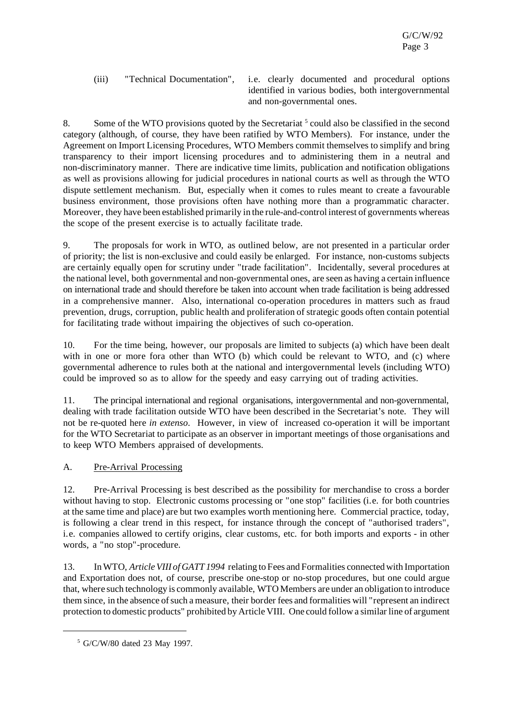(iii) "Technical Documentation", i.e. clearly documented and procedural options identified in various bodies, both intergovernmental and non-governmental ones.

8. Some of the WTO provisions quoted by the Secretariat  $5$  could also be classified in the second category (although, of course, they have been ratified by WTO Members). For instance, under the Agreement on Import Licensing Procedures, WTO Members commit themselves to simplify and bring transparency to their import licensing procedures and to administering them in a neutral and non-discriminatory manner. There are indicative time limits, publication and notification obligations as well as provisions allowing for judicial procedures in national courts as well as through the WTO dispute settlement mechanism. But, especially when it comes to rules meant to create a favourable business environment, those provisions often have nothing more than a programmatic character. Moreover, they have been established primarily in the rule-and-control interest of governments whereas the scope of the present exercise is to actually facilitate trade.

9. The proposals for work in WTO, as outlined below, are not presented in a particular order of priority; the list is non-exclusive and could easily be enlarged. For instance, non-customs subjects are certainly equally open for scrutiny under "trade facilitation". Incidentally, several procedures at the national level, both governmental and non-governmental ones, are seen as having a certain influence on international trade and should therefore be taken into account when trade facilitation is being addressed in a comprehensive manner. Also, international co-operation procedures in matters such as fraud prevention, drugs, corruption, public health and proliferation of strategic goods often contain potential for facilitating trade without impairing the objectives of such co-operation.

10. For the time being, however, our proposals are limited to subjects (a) which have been dealt with in one or more fora other than WTO (b) which could be relevant to WTO, and (c) where governmental adherence to rules both at the national and intergovernmental levels (including WTO) could be improved so as to allow for the speedy and easy carrying out of trading activities.

11. The principal international and regional organisations, intergovernmental and non-governmental, dealing with trade facilitation outside WTO have been described in the Secretariat's note. They will not be re-quoted here *in extenso*. However, in view of increased co-operation it will be important for the WTO Secretariat to participate as an observer in important meetings of those organisations and to keep WTO Members appraised of developments.

#### A. Pre-Arrival Processing

12. Pre-Arrival Processing is best described as the possibility for merchandise to cross a border without having to stop. Electronic customs processing or "one stop" facilities (i.e. for both countries at the same time and place) are but two examples worth mentioning here. Commercial practice, today, is following a clear trend in this respect, for instance through the concept of "authorised traders", i.e. companies allowed to certify origins, clear customs, etc. for both imports and exports - in other words, a "no stop"-procedure.

13. InWTO, *ArticleVIII of GATT 1994* relating to Fees and Formalities connected with Importation and Exportation does not, of course, prescribe one-stop or no-stop procedures, but one could argue that, where such technology is commonly available, WTO Members are under an obligation to introduce them since, in the absence of such a measure, their border fees and formalities will "represent an indirect protection to domestic products" prohibited by Article VIII. One could follow a similarline of argument

<sup>5</sup> G/C/W/80 dated 23 May 1997.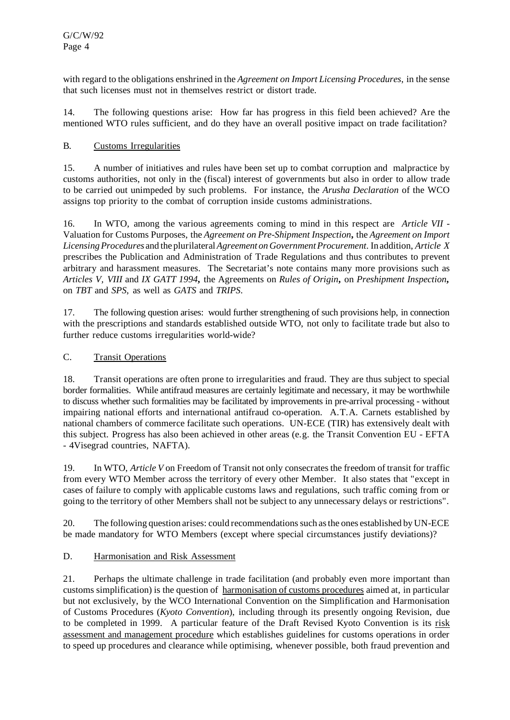with regard to the obligations enshrined in the *Agreement on Import Licensing Procedures*, in the sense that such licenses must not in themselves restrict or distort trade.

14. The following questions arise: How far has progress in this field been achieved? Are the mentioned WTO rules sufficient, and do they have an overall positive impact on trade facilitation?

#### B. Customs Irregularities

15. A number of initiatives and rules have been set up to combat corruption and malpractice by customs authorities, not only in the (fiscal) interest of governments but also in order to allow trade to be carried out unimpeded by such problems. For instance, the *Arusha Declaration* of the WCO assigns top priority to the combat of corruption inside customs administrations.

16. In WTO, among the various agreements coming to mind in this respect are *Article VII* - Valuation for Customs Purposes, the *Agreement on Pre-Shipment Inspection***,** the *Agreement on Import LicensingProcedures* and the plurilateral*Agreement on GovernmentProcurement*.In addition,*Article X* prescribes the Publication and Administration of Trade Regulations and thus contributes to prevent arbitrary and harassment measures. The Secretariat's note contains many more provisions such as *Articles V, VIII* and *IX GATT 1994***,** the Agreements on *Rules of Origin***,** on *Preshipment Inspection***,** on *TBT* and *SPS*, as well as *GATS* and *TRIPS*.

17. The following question arises: would further strengthening of such provisions help, in connection with the prescriptions and standards established outside WTO, not only to facilitate trade but also to further reduce customs irregularities world-wide?

### C. Transit Operations

18. Transit operations are often prone to irregularities and fraud. They are thus subject to special border formalities. While antifraud measures are certainly legitimate and necessary, it may be worthwhile to discuss whether such formalities may be facilitated by improvements in pre-arrival processing - without impairing national efforts and international antifraud co-operation. A.T.A. Carnets established by national chambers of commerce facilitate such operations. UN-ECE (TIR) has extensively dealt with this subject. Progress has also been achieved in other areas (e.g. the Transit Convention EU - EFTA - 4Visegrad countries, NAFTA).

19. In WTO, *Article V* on Freedom of Transit not only consecrates the freedom of transit for traffic from every WTO Member across the territory of every other Member. It also states that "except in cases of failure to comply with applicable customs laws and regulations, such traffic coming from or going to the territory of other Members shall not be subject to any unnecessary delays or restrictions".

20. The following question arises: could recommendationssuch asthe ones established by UN-ECE be made mandatory for WTO Members (except where special circumstances justify deviations)?

#### D. Harmonisation and Risk Assessment

21. Perhaps the ultimate challenge in trade facilitation (and probably even more important than customs simplification) is the question of harmonisation of customs procedures aimed at, in particular but not exclusively, by the WCO International Convention on the Simplification and Harmonisation of Customs Procedures (*Kyoto Convention*), including through its presently ongoing Revision, due to be completed in 1999. A particular feature of the Draft Revised Kyoto Convention is its risk assessment and management procedure which establishes guidelines for customs operations in order to speed up procedures and clearance while optimising, whenever possible, both fraud prevention and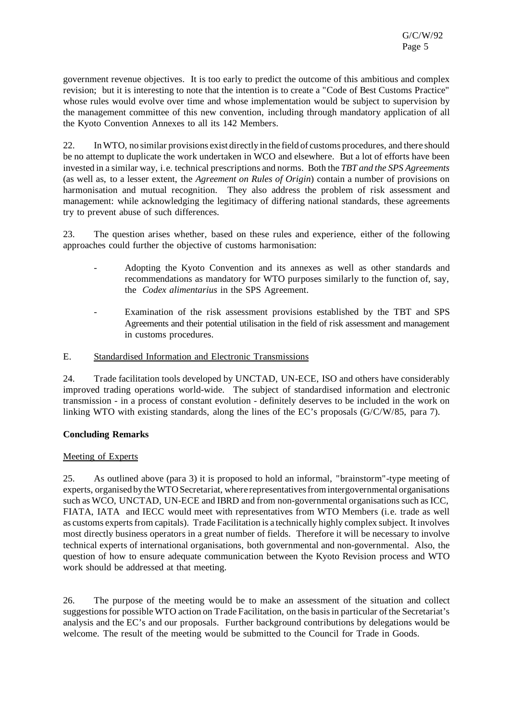government revenue objectives. It is too early to predict the outcome of this ambitious and complex revision; but it is interesting to note that the intention is to create a "Code of Best Customs Practice" whose rules would evolve over time and whose implementation would be subject to supervision by the management committee of this new convention, including through mandatory application of all the Kyoto Convention Annexes to all its 142 Members.

22. InWTO, no similar provisions exist directly in the field of customs procedures, and there should be no attempt to duplicate the work undertaken in WCO and elsewhere. But a lot of efforts have been invested in a similar way, i.e. technical prescriptions and norms. Both the *TBT and the SPS Agreements* (as well as, to a lesser extent, the *Agreement on Rules of Origin*) contain a number of provisions on harmonisation and mutual recognition. They also address the problem of risk assessment and management: while acknowledging the legitimacy of differing national standards, these agreements try to prevent abuse of such differences.

23. The question arises whether, based on these rules and experience, either of the following approaches could further the objective of customs harmonisation:

- Adopting the Kyoto Convention and its annexes as well as other standards and recommendations as mandatory for WTO purposes similarly to the function of, say, the *Codex alimentarius* in the SPS Agreement.
- Examination of the risk assessment provisions established by the TBT and SPS Agreements and their potential utilisation in the field of risk assessment and management in customs procedures.

E. Standardised Information and Electronic Transmissions

24. Trade facilitation tools developed by UNCTAD, UN-ECE, ISO and others have considerably improved trading operations world-wide. The subject of standardised information and electronic transmission - in a process of constant evolution - definitely deserves to be included in the work on linking WTO with existing standards, along the lines of the EC's proposals (G/C/W/85, para 7).

#### **Concluding Remarks**

#### Meeting of Experts

25. As outlined above (para 3) it is proposed to hold an informal, "brainstorm"-type meeting of experts, organised by the WTO Secretariat, where representatives from intergovernmental organisations such as WCO, UNCTAD, UN-ECE and IBRD and from non-governmental organisations such as ICC, FIATA, IATA and IECC would meet with representatives from WTO Members (i.e. trade as well as customs experts from capitals). Trade Facilitation is a technically highly complex subject. It involves most directly business operators in a great number of fields. Therefore it will be necessary to involve technical experts of international organisations, both governmental and non-governmental. Also, the question of how to ensure adequate communication between the Kyoto Revision process and WTO work should be addressed at that meeting.

26. The purpose of the meeting would be to make an assessment of the situation and collect suggestions for possible WTO action on Trade Facilitation, on the basis in particular of the Secretariat's analysis and the EC's and our proposals. Further background contributions by delegations would be welcome. The result of the meeting would be submitted to the Council for Trade in Goods.